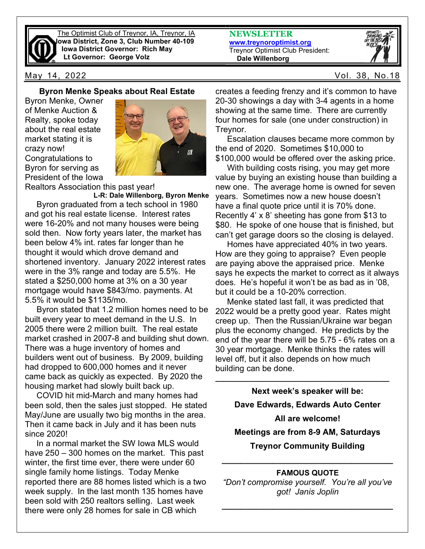

The Optimist Club of Treynor, IA, Treynor, IA Iowa District, Zone 3, Club Number 40-109 Iowa District Governor: Rich May Lt Governor: George Volz

May 14, 2022 Vol. 38, No.18

#### Byron Menke Speaks about Real Estate

Byron Menke, Owner of Menke Auction & Realty, spoke today about the real estate market stating it is crazy now! Congratulations to Byron for serving as President of the Iowa



Realtors Association this past year!

L-R: Dale Willenborg, Byron Menke Byron graduated from a tech school in 1980 and got his real estate license. Interest rates were 16-20% and not many houses were being sold then. Now forty years later, the market has been below 4% int. rates far longer than he thought it would which drove demand and shortened inventory. January 2022 interest rates were in the 3% range and today are 5.5%. He stated a \$250,000 home at 3% on a 30 year mortgage would have \$843/mo. payments. At 5.5% it would be \$1135/mo.

 Byron stated that 1.2 million homes need to be built every year to meet demand in the U.S. In 2005 there were 2 million built. The real estate market crashed in 2007-8 and building shut down. There was a huge inventory of homes and builders went out of business. By 2009, building had dropped to 600,000 homes and it never came back as quickly as expected. By 2020 the housing market had slowly built back up.

 COVID hit mid-March and many homes had been sold, then the sales just stopped. He stated May/June are usually two big months in the area. Then it came back in July and it has been nuts since 2020!

 In a normal market the SW Iowa MLS would have 250 – 300 homes on the market. This past winter, the first time ever, there were under 60 single family home listings. Today Menke reported there are 88 homes listed which is a two week supply. In the last month 135 homes have been sold with 250 realtors selling. Last week there were only 28 homes for sale in CB which

NEWSLETTER www.treynoroptimist.org Treynor Optimist Club President: Dale Willenborg



creates a feeding frenzy and it's common to have 20-30 showings a day with 3-4 agents in a home showing at the same time. There are currently four homes for sale (one under construction) in Treynor.

 Escalation clauses became more common by the end of 2020. Sometimes \$10,000 to \$100,000 would be offered over the asking price.

 With building costs rising, you may get more value by buying an existing house than building a new one. The average home is owned for seven years. Sometimes now a new house doesn't have a final quote price until it is 70% done. Recently 4' x 8' sheeting has gone from \$13 to \$80. He spoke of one house that is finished, but can't get garage doors so the closing is delayed.

 Homes have appreciated 40% in two years. How are they going to appraise? Even people are paying above the appraised price. Menke says he expects the market to correct as it always does. He's hopeful it won't be as bad as in '08, but it could be a 10-20% correction.

 Menke stated last fall, it was predicted that 2022 would be a pretty good year. Rates might creep up. Then the Russian/Ukraine war began plus the economy changed. He predicts by the end of the year there will be 5.75 - 6% rates on a 30 year mortgage. Menke thinks the rates will level off, but it also depends on how much building can be done.

\_\_\_\_\_\_\_\_\_\_\_\_\_\_\_\_\_\_\_\_\_\_\_\_\_\_\_\_\_\_\_\_\_\_\_\_\_\_\_\_\_

Next week's speaker will be: Dave Edwards, Edwards Auto Center All are welcome! Meetings are from 8-9 AM, Saturdays Treynor Community Building

#### FAMOUS QUOTE

\_\_\_\_\_\_\_\_\_\_\_\_\_\_\_\_\_\_\_\_\_\_\_\_\_\_\_\_\_\_\_\_\_\_\_\_\_

"Don't compromise yourself. You're all you've got! Janis Joplin

\_\_\_\_\_\_\_\_\_\_\_\_\_\_\_\_\_\_\_\_\_\_\_\_\_\_\_\_\_\_\_\_\_\_\_\_\_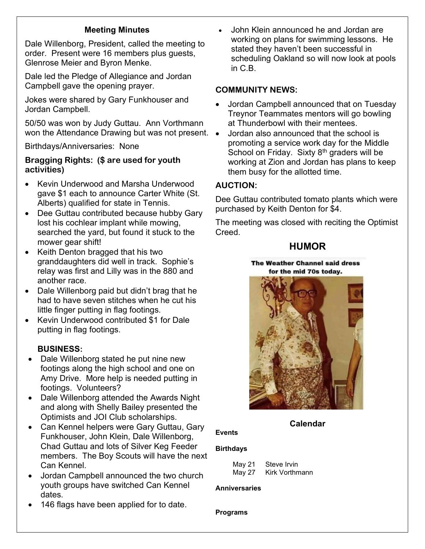## Meeting Minutes

Dale Willenborg, President, called the meeting to order. Present were 16 members plus guests, Glenrose Meier and Byron Menke.

Dale led the Pledge of Allegiance and Jordan Campbell gave the opening prayer.

Jokes were shared by Gary Funkhouser and Jordan Campbell.

50/50 was won by Judy Guttau. Ann Vorthmann won the Attendance Drawing but was not present.  $\bullet$ 

Birthdays/Anniversaries: None

### Bragging Rights: (\$ are used for youth activities)

- Kevin Underwood and Marsha Underwood gave \$1 each to announce Carter White (St. Alberts) qualified for state in Tennis.
- Dee Guttau contributed because hubby Gary lost his cochlear implant while mowing, searched the yard, but found it stuck to the mower gear shift!
- Keith Denton bragged that his two granddaughters did well in track. Sophie's relay was first and Lilly was in the 880 and another race.
- Dale Willenborg paid but didn't brag that he had to have seven stitches when he cut his little finger putting in flag footings.
- Kevin Underwood contributed \$1 for Dale putting in flag footings.

### BUSINESS:

- Dale Willenborg stated he put nine new footings along the high school and one on Amy Drive. More help is needed putting in footings. Volunteers?
- Dale Willenborg attended the Awards Night and along with Shelly Bailey presented the Optimists and JOI Club scholarships.
- Can Kennel helpers were Gary Guttau, Gary Funkhouser, John Klein, Dale Willenborg, Chad Guttau and lots of Silver Keg Feeder members. The Boy Scouts will have the next Can Kennel.
- Jordan Campbell announced the two church youth groups have switched Can Kennel dates.
- 146 flags have been applied for to date.

 John Klein announced he and Jordan are working on plans for swimming lessons. He stated they haven't been successful in scheduling Oakland so will now look at pools in C.B.

### COMMUNITY NEWS:

- Jordan Campbell announced that on Tuesday Treynor Teammates mentors will go bowling at Thunderbowl with their mentees.
- Jordan also announced that the school is promoting a service work day for the Middle School on Friday. Sixty  $8<sup>th</sup>$  graders will be working at Zion and Jordan has plans to keep them busy for the allotted time.

### AUCTION:

Dee Guttau contributed tomato plants which were purchased by Keith Denton for \$4.

The meeting was closed with reciting the Optimist Creed.

## **HUMOR**

The Weather Channel said dress for the mid 70s today.



Calendar

# **Birthdays**

Events

| May 21 | Steve Irvin    |
|--------|----------------|
| May 27 | Kirk Vorthmann |

#### **Anniversaries**

Programs